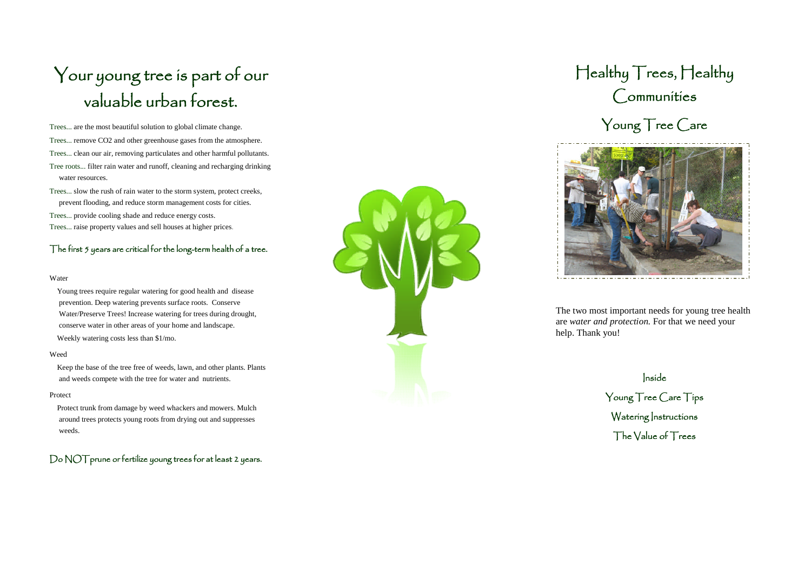# . valuable urban forest. Your young tree is part of our

Trees... are the most beautiful solution to global climate change. Trees... remove CO2 and other greenhouse gases from the atmosphere. Trees... clean our air, removing particulates and other harmful pollutants. Tree roots... filter rain water and runoff, cleaning and recharging drinking water resources.

Trees... slow the rush of rain water to the storm system, protect creeks, prevent flooding, and reduce storm management costs for cities.

Trees... provide cooling shade and reduce energy costs. Trees... raise property values and sell houses at higher prices .

### The first 5 years are critical for the long-term health of a tree.

#### Water

Young trees require regular watering for good health and disease prevention. Deep watering prevents surface roots. Conserve Water/Preserve Trees! Increase watering for trees during drought, conserve water in other areas of your home and landscape. Weekly watering costs less than \$1/mo.

#### Weed

Keep the base of the tree free of weeds, lawn, and other plants. Plants and weeds compete with the tree for water and nutrients.

#### Protect

Protect trunk from damage by weed whackers and mowers. Mulch around trees protects young roots from drying out and suppresses weeds.

### Do NOT prune or fertilize young trees for at least 2 years.



# Healthy Trees, Healthy Communities





The two most important needs for young tree health are *water and protection.* For that we need your help. Thank you!

Inside

Young Tree Care Tips Watering Instructions The Value of Trees